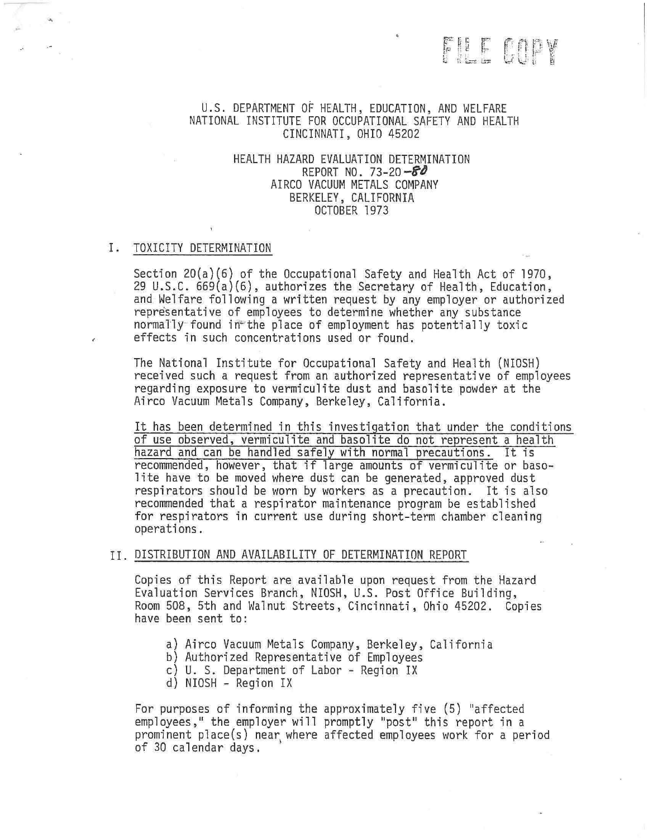# THE COPY

# U.S. DEPARTMENT OF HEALTH, EDUCATION, AND WELFARE NATIONAL INSTITUTE FOR OCCUPATIONAL SAFETY AND HEALTH CINCINNATI, OHIO 45202

# HEALTH HAZARD EVALUATION DETERMINATION REPORT NO. 73-20  $-80$ AIRCO VACUUM METALS COMPANY BERKELEY, CALIFORNIA OCTOBER 1973

## I. TOXICITY DETERMINATION

Section 20(a)(6) of the Occupational Safety and Health Act of 1970, 29 U.S.C. 669(a)(6), authorizes the Secretary of Health, Education, and Welfare following a written request by any employer or authorized representative of employees to determine whether any substance normally found in the place of employment has potentially toxic effects in such concentrations used or found.

The National Institute for Occupational Safety and Health (NIOSH) received such a request from an authorized representative of employees regarding exposure to vermiculite dust and basolite powder at the Airco Vacuum Metals Company, Berkeley, California.

It has been determined in this investigation that under the conditions of use observed, vermiculite and basolite do not represent a health hazard and can be handled safely with normal precautions. It is recommended, however, that if large amounts of vermiculite or basolite have to be moved where dust can be generated, approved dust respirators should be worn by workers as a precaution. It is also recommended that a respirator maintenance program be established for respirators in current use during short-term chamber cleaning operations.

## II. DISTRIBUTION AND AVAILABILITY OF DETERMINATION REPORT

Copies of this Report are available upon request from the Hazard Evaluation Services Branch, NIOSH, U.S. Post Office Building, Room 508, 5th and Walnut Streets, Cincinnati, Ohio 45202. Copies have been sent to:

- a) Airco Vacuum Metals Company, Berkeley, California
- b) Authorized Representative of Employees
- c) U. S. Department of Labor Region IX
- d) NIOSH Region IX

For purposes of informing the approximately five (5) ''affected employees," the employer will promptly "post" this report in a prominent place(s) near where affected employees work for a period of 30 calendar days.